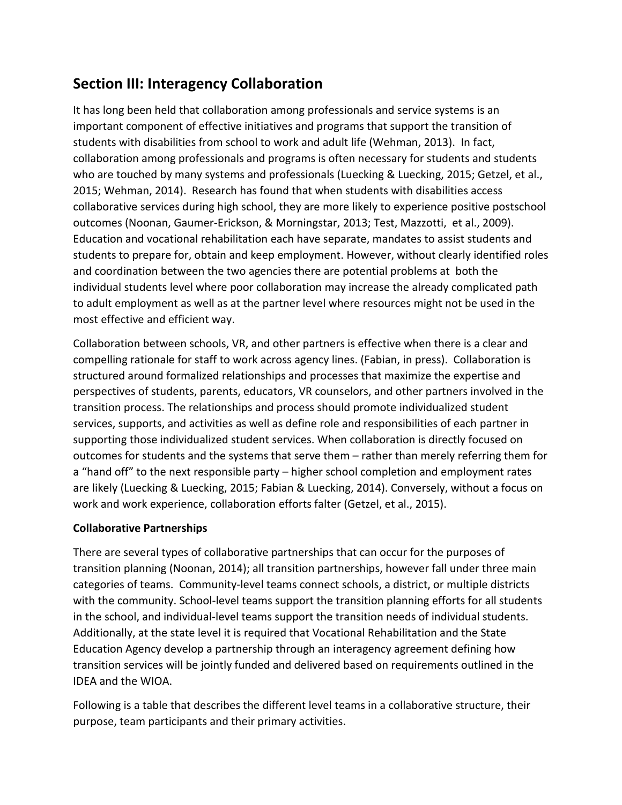# **Section III: Interagency Collaboration**

It has long been held that collaboration among professionals and service systems is an important component of effective initiatives and programs that support the transition of students with disabilities from school to work and adult life (Wehman, 2013). In fact, collaboration among professionals and programs is often necessary for students and students who are touched by many systems and professionals (Luecking & Luecking, 2015; Getzel, et al., 2015; Wehman, 2014). Research has found that when students with disabilities access collaborative services during high school, they are more likely to experience positive postschool outcomes (Noonan, Gaumer-Erickson, & Morningstar, 2013; Test, Mazzotti, et al., 2009). Education and vocational rehabilitation each have separate, mandates to assist students and students to prepare for, obtain and keep employment. However, without clearly identified roles and coordination between the two agencies there are potential problems at both the individual students level where poor collaboration may increase the already complicated path to adult employment as well as at the partner level where resources might not be used in the most effective and efficient way.

Collaboration between schools, VR, and other partners is effective when there is a clear and compelling rationale for staff to work across agency lines. (Fabian, in press). Collaboration is structured around formalized relationships and processes that maximize the expertise and perspectives of students, parents, educators, VR counselors, and other partners involved in the transition process. The relationships and process should promote individualized student services, supports, and activities as well as define role and responsibilities of each partner in supporting those individualized student services. When collaboration is directly focused on outcomes for students and the systems that serve them – rather than merely referring them for a "hand off" to the next responsible party – higher school completion and employment rates are likely (Luecking & Luecking, 2015; Fabian & Luecking, 2014). Conversely, without a focus on work and work experience, collaboration efforts falter (Getzel, et al., 2015).

### **Collaborative Partnerships**

There are several types of collaborative partnerships that can occur for the purposes of transition planning (Noonan, 2014); all transition partnerships, however fall under three main categories of teams. Community-level teams connect schools, a district, or multiple districts with the community. School-level teams support the transition planning efforts for all students in the school, and individual-level teams support the transition needs of individual students. Additionally, at the state level it is required that Vocational Rehabilitation and the State Education Agency develop a partnership through an interagency agreement defining how transition services will be jointly funded and delivered based on requirements outlined in the IDEA and the WIOA.

Following is a table that describes the different level teams in a collaborative structure, their purpose, team participants and their primary activities.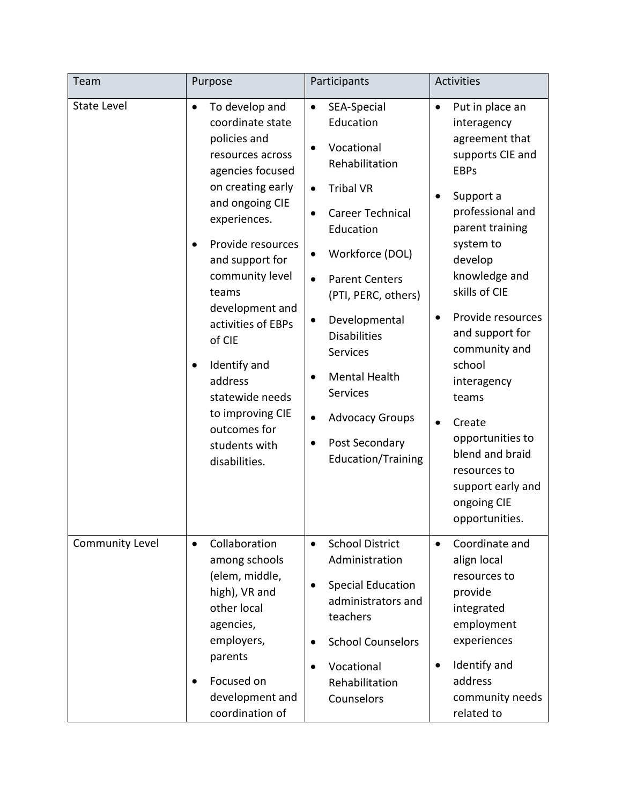| Team               | Purpose                                                                                                                                                                                                                                                                                                                                                                                                                              | Participants                                                                                                                                                                                                                                                                                                                                                                                                      | <b>Activities</b>                                                                                                                                                                                                                                                                                                                                                                                                                                  |
|--------------------|--------------------------------------------------------------------------------------------------------------------------------------------------------------------------------------------------------------------------------------------------------------------------------------------------------------------------------------------------------------------------------------------------------------------------------------|-------------------------------------------------------------------------------------------------------------------------------------------------------------------------------------------------------------------------------------------------------------------------------------------------------------------------------------------------------------------------------------------------------------------|----------------------------------------------------------------------------------------------------------------------------------------------------------------------------------------------------------------------------------------------------------------------------------------------------------------------------------------------------------------------------------------------------------------------------------------------------|
| <b>State Level</b> | To develop and<br>$\bullet$<br>coordinate state<br>policies and<br>resources across<br>agencies focused<br>on creating early<br>and ongoing CIE<br>experiences.<br>Provide resources<br>$\bullet$<br>and support for<br>community level<br>teams<br>development and<br>activities of EBPs<br>of CIE<br>Identify and<br>$\bullet$<br>address<br>statewide needs<br>to improving CIE<br>outcomes for<br>students with<br>disabilities. | SEA-Special<br>$\bullet$<br>Education<br>Vocational<br>$\bullet$<br>Rehabilitation<br><b>Tribal VR</b><br>$\bullet$<br>Career Technical<br>Education<br>Workforce (DOL)<br><b>Parent Centers</b><br>(PTI, PERC, others)<br>Developmental<br>$\bullet$<br><b>Disabilities</b><br>Services<br><b>Mental Health</b><br><b>Services</b><br><b>Advocacy Groups</b><br>Post Secondary<br>٠<br><b>Education/Training</b> | Put in place an<br>$\bullet$<br>interagency<br>agreement that<br>supports CIE and<br><b>EBPs</b><br>Support a<br>$\bullet$<br>professional and<br>parent training<br>system to<br>develop<br>knowledge and<br>skills of CIE<br>Provide resources<br>٠<br>and support for<br>community and<br>school<br>interagency<br>teams<br>Create<br>opportunities to<br>blend and braid<br>resources to<br>support early and<br>ongoing CIE<br>opportunities. |
| Community Level    | Collaboration<br>$\bullet$<br>among schools<br>(elem, middle,<br>high), VR and<br>other local<br>agencies,<br>employers,<br>parents<br>Focused on<br>development and<br>coordination of                                                                                                                                                                                                                                              | <b>School District</b><br>$\bullet$<br>Administration<br><b>Special Education</b><br>administrators and<br>teachers<br><b>School Counselors</b><br>$\bullet$<br>Vocational<br>$\bullet$<br>Rehabilitation<br>Counselors                                                                                                                                                                                           | Coordinate and<br>$\bullet$<br>align local<br>resources to<br>provide<br>integrated<br>employment<br>experiences<br>Identify and<br>$\bullet$<br>address<br>community needs<br>related to                                                                                                                                                                                                                                                          |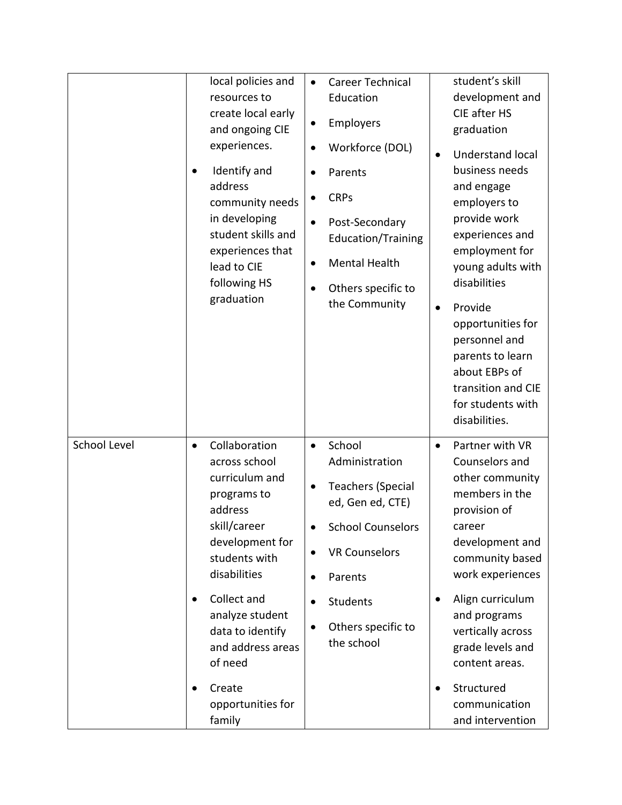|                     | local policies and<br>resources to<br>create local early<br>and ongoing CIE<br>experiences.<br>Identify and<br>$\bullet$<br>address<br>community needs<br>in developing<br>student skills and<br>experiences that<br>lead to CIE<br>following HS<br>graduation           | Career Technical<br>$\bullet$<br>Education<br>Employers<br>Workforce (DOL)<br>$\bullet$<br>Parents<br>$\bullet$<br><b>CRPs</b><br>Post-Secondary<br>$\bullet$<br><b>Education/Training</b><br><b>Mental Health</b><br>$\bullet$<br>Others specific to<br>$\bullet$<br>the Community | student's skill<br>development and<br>CIE after HS<br>graduation<br><b>Understand local</b><br>$\bullet$<br>business needs<br>and engage<br>employers to<br>provide work<br>experiences and<br>employment for<br>young adults with<br>disabilities<br>Provide<br>$\bullet$<br>opportunities for<br>personnel and<br>parents to learn<br>about EBPs of<br>transition and CIE<br>for students with<br>disabilities. |
|---------------------|--------------------------------------------------------------------------------------------------------------------------------------------------------------------------------------------------------------------------------------------------------------------------|-------------------------------------------------------------------------------------------------------------------------------------------------------------------------------------------------------------------------------------------------------------------------------------|-------------------------------------------------------------------------------------------------------------------------------------------------------------------------------------------------------------------------------------------------------------------------------------------------------------------------------------------------------------------------------------------------------------------|
| <b>School Level</b> | Collaboration<br>$\bullet$<br>across school<br>curriculum and<br>programs to<br>address<br>skill/career<br>development for<br>students with<br>disabilities<br>Collect and<br>$\bullet$<br>analyze student<br>data to identify<br>and address areas<br>of need<br>Create | School<br>$\bullet$<br>Administration<br><b>Teachers (Special</b><br>ed, Gen ed, CTE)<br><b>School Counselors</b><br><b>VR Counselors</b><br>$\bullet$<br>Parents<br>Students<br>Others specific to<br>$\bullet$<br>the school                                                      | Partner with VR<br>$\bullet$<br>Counselors and<br>other community<br>members in the<br>provision of<br>career<br>development and<br>community based<br>work experiences<br>Align curriculum<br>$\bullet$<br>and programs<br>vertically across<br>grade levels and<br>content areas.<br>Structured<br>$\bullet$                                                                                                    |
|                     | opportunities for<br>family                                                                                                                                                                                                                                              |                                                                                                                                                                                                                                                                                     | communication<br>and intervention                                                                                                                                                                                                                                                                                                                                                                                 |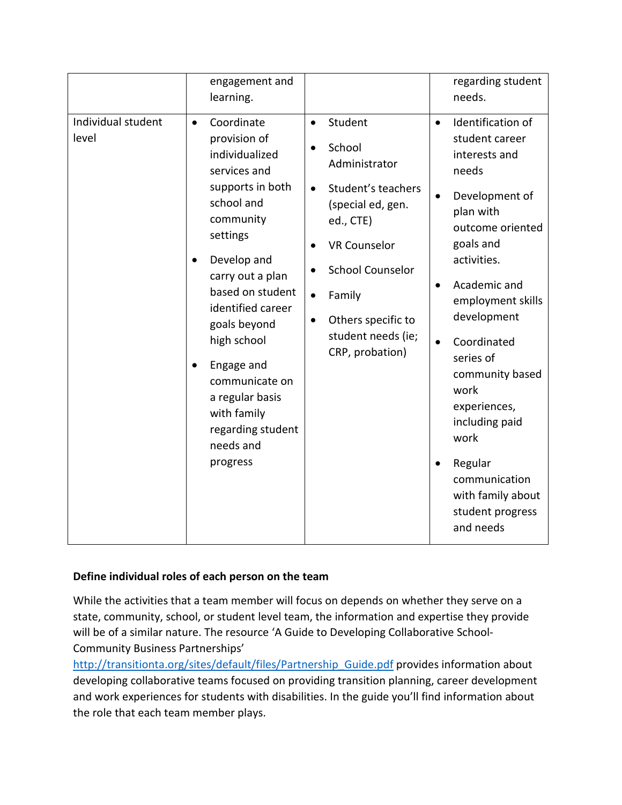|                             | engagement and<br>learning.                                                                                                                                                                                                                                                                                                                                                  |                                                                                                                                                                                                                                                                                                                  | regarding student<br>needs.                                                                                                                                                                                                                                                                                                                                                                                   |
|-----------------------------|------------------------------------------------------------------------------------------------------------------------------------------------------------------------------------------------------------------------------------------------------------------------------------------------------------------------------------------------------------------------------|------------------------------------------------------------------------------------------------------------------------------------------------------------------------------------------------------------------------------------------------------------------------------------------------------------------|---------------------------------------------------------------------------------------------------------------------------------------------------------------------------------------------------------------------------------------------------------------------------------------------------------------------------------------------------------------------------------------------------------------|
| Individual student<br>level | Coordinate<br>$\bullet$<br>provision of<br>individualized<br>services and<br>supports in both<br>school and<br>community<br>settings<br>Develop and<br>$\bullet$<br>carry out a plan<br>based on student<br>identified career<br>goals beyond<br>high school<br>Engage and<br>communicate on<br>a regular basis<br>with family<br>regarding student<br>needs and<br>progress | Student<br>$\bullet$<br>School<br>$\bullet$<br>Administrator<br>Student's teachers<br>$\bullet$<br>(special ed, gen.<br>ed., CTE)<br><b>VR Counselor</b><br>$\bullet$<br><b>School Counselor</b><br>$\bullet$<br>Family<br>$\bullet$<br>Others specific to<br>$\bullet$<br>student needs (ie;<br>CRP, probation) | Identification of<br>$\bullet$<br>student career<br>interests and<br>needs<br>Development of<br>$\bullet$<br>plan with<br>outcome oriented<br>goals and<br>activities.<br>Academic and<br>employment skills<br>development<br>Coordinated<br>series of<br>community based<br>work<br>experiences,<br>including paid<br>work<br>Regular<br>communication<br>with family about<br>student progress<br>and needs |

# **Define individual roles of each person on the team**

While the activities that a team member will focus on depends on whether they serve on a state, community, school, or student level team, the information and expertise they provide will be of a similar nature. The resource 'A Guide to Developing Collaborative School-Community Business Partnerships'

[http://transitionta.org/sites/default/files/Partnership\\_Guide.pdf](http://transitionta.org/sites/default/files/Partnership_Guide.pdf) provides information about developing collaborative teams focused on providing transition planning, career development and work experiences for students with disabilities. In the guide you'll find information about the role that each team member plays.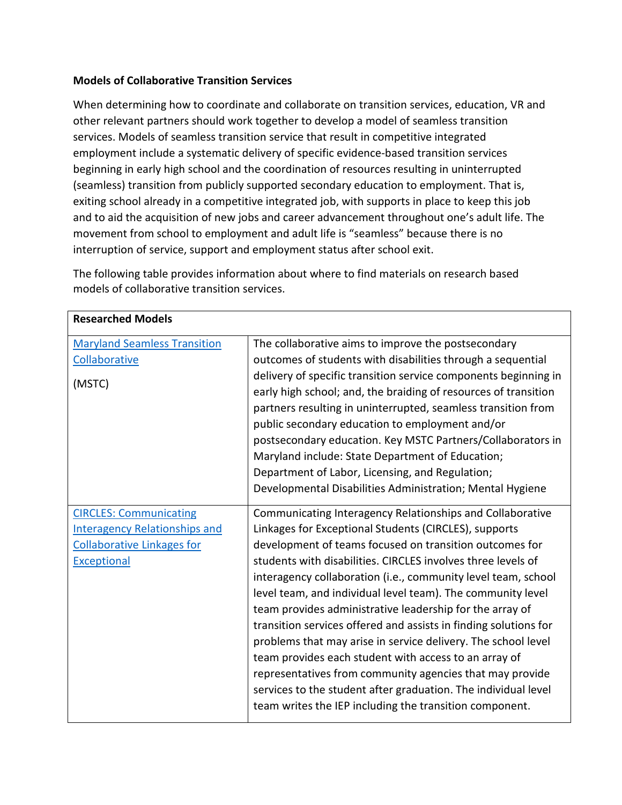#### **Models of Collaborative Transition Services**

When determining how to coordinate and collaborate on transition services, education, VR and other relevant partners should work together to develop a model of seamless transition services. Models of seamless transition service that result in competitive integrated employment include a systematic delivery of specific evidence-based transition services beginning in early high school and the coordination of resources resulting in uninterrupted (seamless) transition from publicly supported secondary education to employment. That is, exiting school already in a competitive integrated job, with supports in place to keep this job and to aid the acquisition of new jobs and career advancement throughout one's adult life. The movement from school to employment and adult life is "seamless" because there is no interruption of service, support and employment status after school exit.

| <b>Researched Models</b>                                                                                                         |                                                                                                                                                                                                                                                                                                                                                                                                                                                                                                                                                                                                                                                                                                                                                                                                                                  |
|----------------------------------------------------------------------------------------------------------------------------------|----------------------------------------------------------------------------------------------------------------------------------------------------------------------------------------------------------------------------------------------------------------------------------------------------------------------------------------------------------------------------------------------------------------------------------------------------------------------------------------------------------------------------------------------------------------------------------------------------------------------------------------------------------------------------------------------------------------------------------------------------------------------------------------------------------------------------------|
| <b>Maryland Seamless Transition</b>                                                                                              | The collaborative aims to improve the postsecondary                                                                                                                                                                                                                                                                                                                                                                                                                                                                                                                                                                                                                                                                                                                                                                              |
| Collaborative                                                                                                                    | outcomes of students with disabilities through a sequential                                                                                                                                                                                                                                                                                                                                                                                                                                                                                                                                                                                                                                                                                                                                                                      |
| (MSTC)                                                                                                                           | delivery of specific transition service components beginning in<br>early high school; and, the braiding of resources of transition<br>partners resulting in uninterrupted, seamless transition from<br>public secondary education to employment and/or<br>postsecondary education. Key MSTC Partners/Collaborators in<br>Maryland include: State Department of Education;<br>Department of Labor, Licensing, and Regulation;<br>Developmental Disabilities Administration; Mental Hygiene                                                                                                                                                                                                                                                                                                                                        |
| <b>CIRCLES: Communicating</b><br><b>Interagency Relationships and</b><br><b>Collaborative Linkages for</b><br><b>Exceptional</b> | Communicating Interagency Relationships and Collaborative<br>Linkages for Exceptional Students (CIRCLES), supports<br>development of teams focused on transition outcomes for<br>students with disabilities. CIRCLES involves three levels of<br>interagency collaboration (i.e., community level team, school<br>level team, and individual level team). The community level<br>team provides administrative leadership for the array of<br>transition services offered and assists in finding solutions for<br>problems that may arise in service delivery. The school level<br>team provides each student with access to an array of<br>representatives from community agencies that may provide<br>services to the student after graduation. The individual level<br>team writes the IEP including the transition component. |

The following table provides information about where to find materials on research based models of collaborative transition services.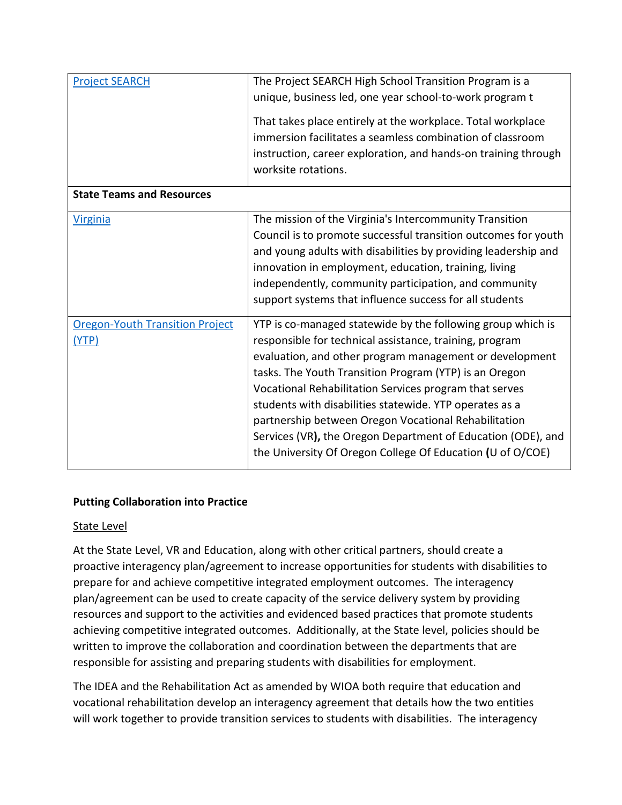| <b>Project SEARCH</b>                           | The Project SEARCH High School Transition Program is a<br>unique, business led, one year school-to-work program t<br>That takes place entirely at the workplace. Total workplace<br>immersion facilitates a seamless combination of classroom<br>instruction, career exploration, and hands-on training through<br>worksite rotations.                                                                                                                                                                                                                 |
|-------------------------------------------------|--------------------------------------------------------------------------------------------------------------------------------------------------------------------------------------------------------------------------------------------------------------------------------------------------------------------------------------------------------------------------------------------------------------------------------------------------------------------------------------------------------------------------------------------------------|
| <b>State Teams and Resources</b>                |                                                                                                                                                                                                                                                                                                                                                                                                                                                                                                                                                        |
| <b>Virginia</b>                                 | The mission of the Virginia's Intercommunity Transition<br>Council is to promote successful transition outcomes for youth<br>and young adults with disabilities by providing leadership and<br>innovation in employment, education, training, living<br>independently, community participation, and community<br>support systems that influence success for all students                                                                                                                                                                               |
| <b>Oregon-Youth Transition Project</b><br>(YTP) | YTP is co-managed statewide by the following group which is<br>responsible for technical assistance, training, program<br>evaluation, and other program management or development<br>tasks. The Youth Transition Program (YTP) is an Oregon<br>Vocational Rehabilitation Services program that serves<br>students with disabilities statewide. YTP operates as a<br>partnership between Oregon Vocational Rehabilitation<br>Services (VR), the Oregon Department of Education (ODE), and<br>the University Of Oregon College Of Education (U of O/COE) |

### **Putting Collaboration into Practice**

#### State Level

At the State Level, VR and Education, along with other critical partners, should create a proactive interagency plan/agreement to increase opportunities for students with disabilities to prepare for and achieve competitive integrated employment outcomes. The interagency plan/agreement can be used to create capacity of the service delivery system by providing resources and support to the activities and evidenced based practices that promote students achieving competitive integrated outcomes. Additionally, at the State level, policies should be written to improve the collaboration and coordination between the departments that are responsible for assisting and preparing students with disabilities for employment.

The IDEA and the Rehabilitation Act as amended by WIOA both require that education and vocational rehabilitation develop an interagency agreement that details how the two entities will work together to provide transition services to students with disabilities. The interagency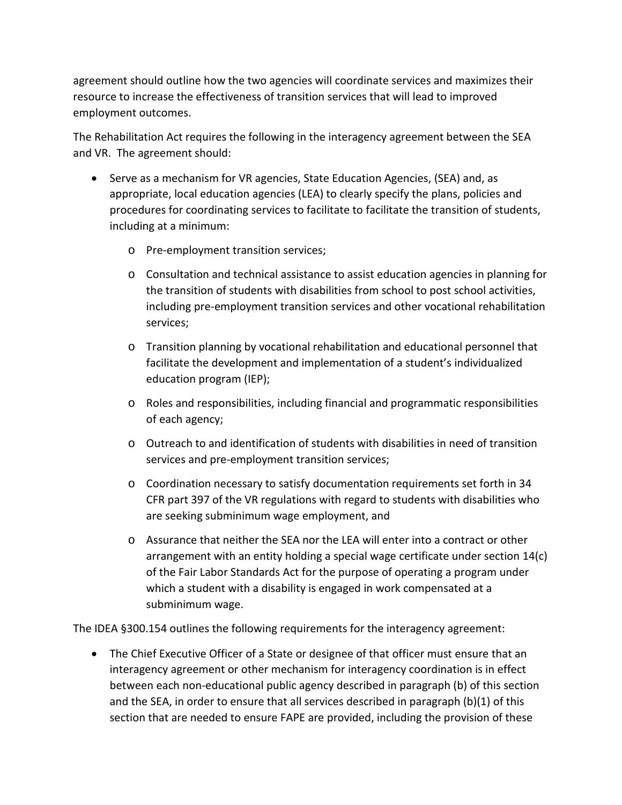agreement should outline how the two agencies will coordinate services and maximizes their resource to increase the effectiveness of transition services that will lead to improved employment outcomes.

The Rehabilitation Act requires the following in the interagency agreement between the SEA and VR. The agreement should:

- Serve as a mechanism for VR agencies, State Education Agencies, (SEA) and, as appropriate, local education agencies (LEA) to clearly specify the plans, policies and procedures for coordinating services to facilitate to facilitate the transition of students, including at a minimum:
	- o Pre-employment transition services;
	- o Consultation and technical assistance to assist education agencies in planning for the transition of students with disabilities from school to post school activities, including pre-employment transition services and other vocational rehabilitation services;
	- o Transition planning by vocational rehabilitation and educational personnel that facilitate the development and implementation of a student's individualized education program (IEP);
	- o Roles and responsibilities, including financial and programmatic responsibilities of each agency;
	- o Outreach to and identification of students with disabilities in need of transition services and pre-employment transition services;
	- o Coordination necessary to satisfy documentation requirements set forth in 34 CFR part 397 of the VR regulations with regard to students with disabilities who are seeking subminimum wage employment, and
	- o Assurance that neither the SEA nor the LEA will enter into a contract or other arrangement with an entity holding a special wage certificate under section 14(c) of the Fair Labor Standards Act for the purpose of operating a program under which a student with a disability is engaged in work compensated at a subminimum wage.

The IDEA §300.154 outlines the following requirements for the interagency agreement:

• The Chief Executive Officer of a State or designee of that officer must ensure that an interagency agreement or other mechanism for interagency coordination is in effect between each non-educational public agency described in paragraph (b) of this section and the SEA, in order to ensure that all services described in paragraph (b)(1) of this section that are needed to ensure FAPE are provided, including the provision of these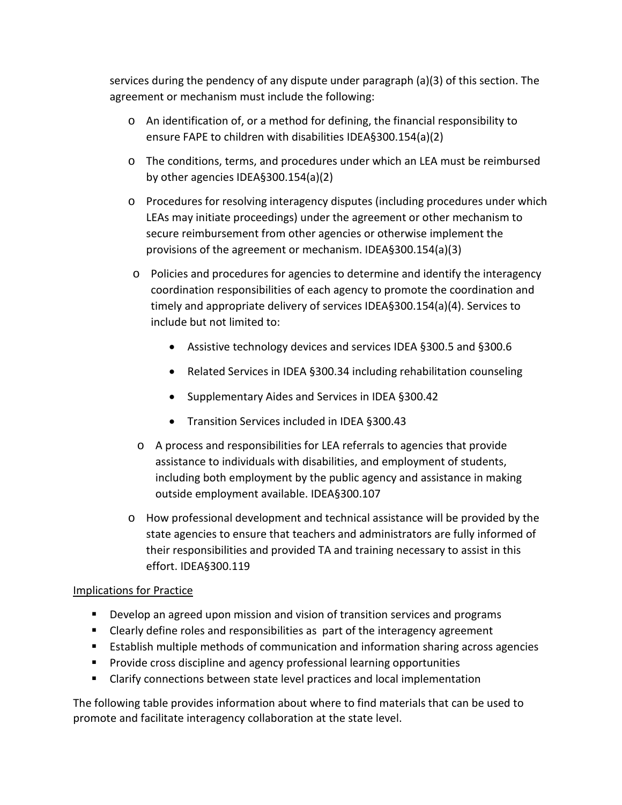services during the pendency of any dispute under paragraph (a)(3) of this section. The agreement or mechanism must include the following:

- o An identification of, or a method for defining, the financial responsibility to ensure FAPE to children with disabilities IDEA§300.154(a)(2)
- o The conditions, terms, and procedures under which an LEA must be reimbursed by other agencies IDEA§300.154(a)(2)
- o Procedures for resolving interagency disputes (including procedures under which LEAs may initiate proceedings) under the agreement or other mechanism to secure reimbursement from other agencies or otherwise implement the provisions of the agreement or mechanism. IDEA§300.154(a)(3)
- o Policies and procedures for agencies to determine and identify the interagency coordination responsibilities of each agency to promote the coordination and timely and appropriate delivery of services IDEA§300.154(a)(4). Services to include but not limited to:
	- Assistive technology devices and services IDEA §300.5 and §300.6
	- Related Services in IDEA §300.34 including rehabilitation counseling
	- Supplementary Aides and Services in IDEA §300.42
	- Transition Services included in IDEA §300.43
- o A process and responsibilities for LEA referrals to agencies that provide assistance to individuals with disabilities, and employment of students, including both employment by the public agency and assistance in making outside employment available. IDEA§300.107
- o How professional development and technical assistance will be provided by the state agencies to ensure that teachers and administrators are fully informed of their responsibilities and provided TA and training necessary to assist in this effort. IDEA§300.119

### Implications for Practice

- **Develop an agreed upon mission and vision of transition services and programs**
- Clearly define roles and responsibilities as part of the interagency agreement
- Establish multiple methods of communication and information sharing across agencies
- **Provide cross discipline and agency professional learning opportunities**
- Clarify connections between state level practices and local implementation

The following table provides information about where to find materials that can be used to promote and facilitate interagency collaboration at the state level.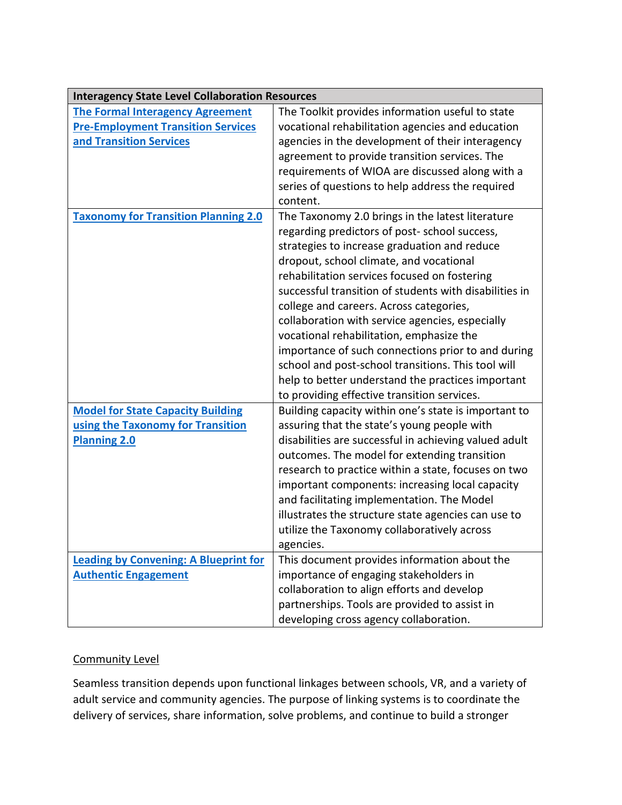| <b>Interagency State Level Collaboration Resources</b> |                                                        |
|--------------------------------------------------------|--------------------------------------------------------|
| <b>The Formal Interagency Agreement</b>                | The Toolkit provides information useful to state       |
| <b>Pre-Employment Transition Services</b>              | vocational rehabilitation agencies and education       |
| and Transition Services                                | agencies in the development of their interagency       |
|                                                        | agreement to provide transition services. The          |
|                                                        | requirements of WIOA are discussed along with a        |
|                                                        | series of questions to help address the required       |
|                                                        | content.                                               |
| <b>Taxonomy for Transition Planning 2.0</b>            | The Taxonomy 2.0 brings in the latest literature       |
|                                                        | regarding predictors of post-school success,           |
|                                                        | strategies to increase graduation and reduce           |
|                                                        | dropout, school climate, and vocational                |
|                                                        | rehabilitation services focused on fostering           |
|                                                        | successful transition of students with disabilities in |
|                                                        | college and careers. Across categories,                |
|                                                        | collaboration with service agencies, especially        |
|                                                        | vocational rehabilitation, emphasize the               |
|                                                        | importance of such connections prior to and during     |
|                                                        | school and post-school transitions. This tool will     |
|                                                        | help to better understand the practices important      |
|                                                        | to providing effective transition services.            |
| <b>Model for State Capacity Building</b>               | Building capacity within one's state is important to   |
| using the Taxonomy for Transition                      | assuring that the state's young people with            |
| <b>Planning 2.0</b>                                    | disabilities are successful in achieving valued adult  |
|                                                        | outcomes. The model for extending transition           |
|                                                        | research to practice within a state, focuses on two    |
|                                                        | important components: increasing local capacity        |
|                                                        | and facilitating implementation. The Model             |
|                                                        | illustrates the structure state agencies can use to    |
|                                                        | utilize the Taxonomy collaboratively across            |
|                                                        | agencies.                                              |
| <b>Leading by Convening: A Blueprint for</b>           | This document provides information about the           |
| <b>Authentic Engagement</b>                            | importance of engaging stakeholders in                 |
|                                                        | collaboration to align efforts and develop             |
|                                                        | partnerships. Tools are provided to assist in          |
|                                                        | developing cross agency collaboration.                 |

### Community Level

Seamless transition depends upon functional linkages between schools, VR, and a variety of adult service and community agencies. The purpose of linking systems is to coordinate the delivery of services, share information, solve problems, and continue to build a stronger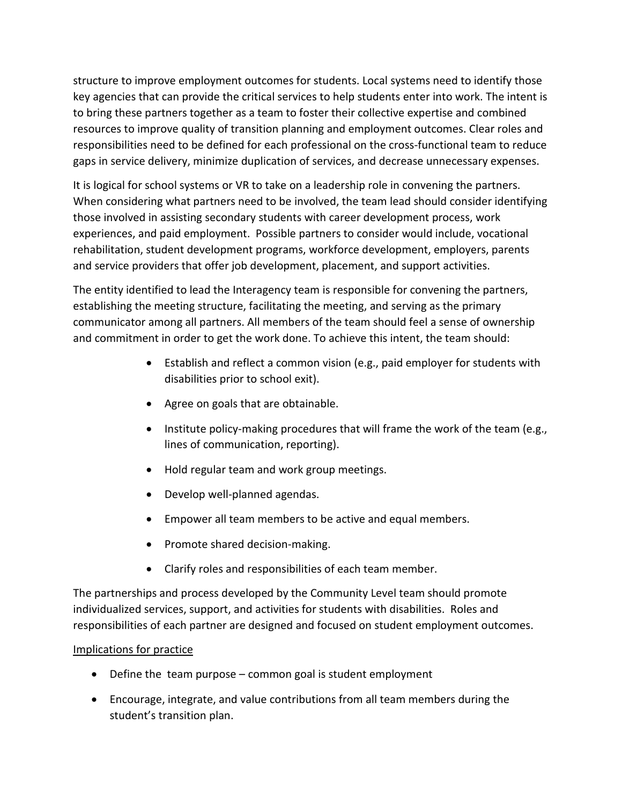structure to improve employment outcomes for students. Local systems need to identify those key agencies that can provide the critical services to help students enter into work. The intent is to bring these partners together as a team to foster their collective expertise and combined resources to improve quality of transition planning and employment outcomes. Clear roles and responsibilities need to be defined for each professional on the cross-functional team to reduce gaps in service delivery, minimize duplication of services, and decrease unnecessary expenses.

It is logical for school systems or VR to take on a leadership role in convening the partners. When considering what partners need to be involved, the team lead should consider identifying those involved in assisting secondary students with career development process, work experiences, and paid employment. Possible partners to consider would include, vocational rehabilitation, student development programs, workforce development, employers, parents and service providers that offer job development, placement, and support activities.

The entity identified to lead the Interagency team is responsible for convening the partners, establishing the meeting structure, facilitating the meeting, and serving as the primary communicator among all partners. All members of the team should feel a sense of ownership and commitment in order to get the work done. To achieve this intent, the team should:

- Establish and reflect a common vision (e.g., paid employer for students with disabilities prior to school exit).
- Agree on goals that are obtainable.
- Institute policy-making procedures that will frame the work of the team (e.g., lines of communication, reporting).
- Hold regular team and work group meetings.
- Develop well-planned agendas.
- Empower all team members to be active and equal members.
- Promote shared decision-making.
- Clarify roles and responsibilities of each team member.

The partnerships and process developed by the Community Level team should promote individualized services, support, and activities for students with disabilities. Roles and responsibilities of each partner are designed and focused on student employment outcomes.

# Implications for practice

- Define the team purpose common goal is student employment
- Encourage, integrate, and value contributions from all team members during the student's transition plan.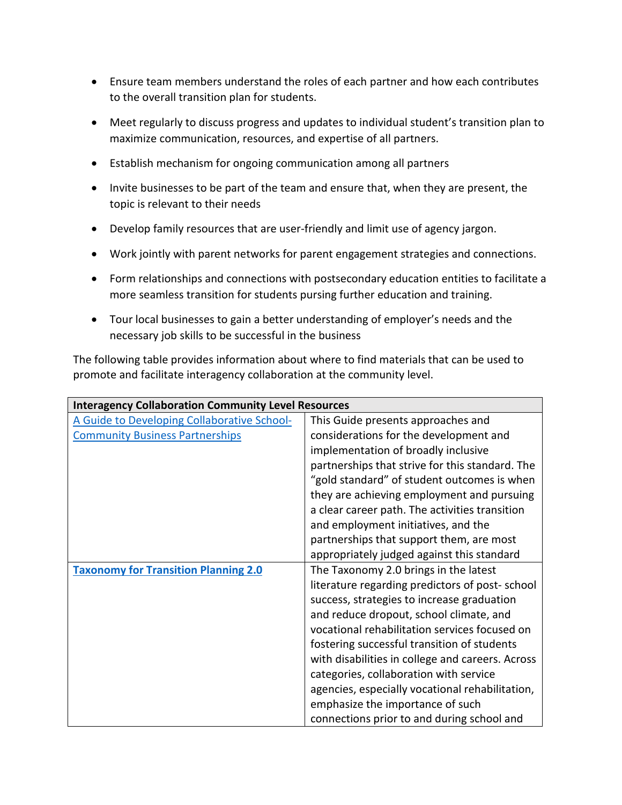- Ensure team members understand the roles of each partner and how each contributes to the overall transition plan for students.
- Meet regularly to discuss progress and updates to individual student's transition plan to maximize communication, resources, and expertise of all partners.
- Establish mechanism for ongoing communication among all partners
- Invite businesses to be part of the team and ensure that, when they are present, the topic is relevant to their needs
- Develop family resources that are user-friendly and limit use of agency jargon.
- Work jointly with parent networks for parent engagement strategies and connections.
- Form relationships and connections with postsecondary education entities to facilitate a more seamless transition for students pursing further education and training.
- Tour local businesses to gain a better understanding of employer's needs and the necessary job skills to be successful in the business

The following table provides information about where to find materials that can be used to promote and facilitate interagency collaboration at the community level.

| <b>Interagency Collaboration Community Level Resources</b> |                                                  |  |
|------------------------------------------------------------|--------------------------------------------------|--|
| A Guide to Developing Collaborative School-                | This Guide presents approaches and               |  |
| <b>Community Business Partnerships</b>                     | considerations for the development and           |  |
|                                                            | implementation of broadly inclusive              |  |
|                                                            | partnerships that strive for this standard. The  |  |
|                                                            | "gold standard" of student outcomes is when      |  |
|                                                            | they are achieving employment and pursuing       |  |
|                                                            | a clear career path. The activities transition   |  |
|                                                            | and employment initiatives, and the              |  |
|                                                            | partnerships that support them, are most         |  |
|                                                            | appropriately judged against this standard       |  |
| <b>Taxonomy for Transition Planning 2.0</b>                | The Taxonomy 2.0 brings in the latest            |  |
|                                                            | literature regarding predictors of post-school   |  |
|                                                            | success, strategies to increase graduation       |  |
|                                                            | and reduce dropout, school climate, and          |  |
|                                                            | vocational rehabilitation services focused on    |  |
|                                                            | fostering successful transition of students      |  |
|                                                            | with disabilities in college and careers. Across |  |
|                                                            | categories, collaboration with service           |  |
|                                                            | agencies, especially vocational rehabilitation,  |  |
|                                                            | emphasize the importance of such                 |  |
|                                                            | connections prior to and during school and       |  |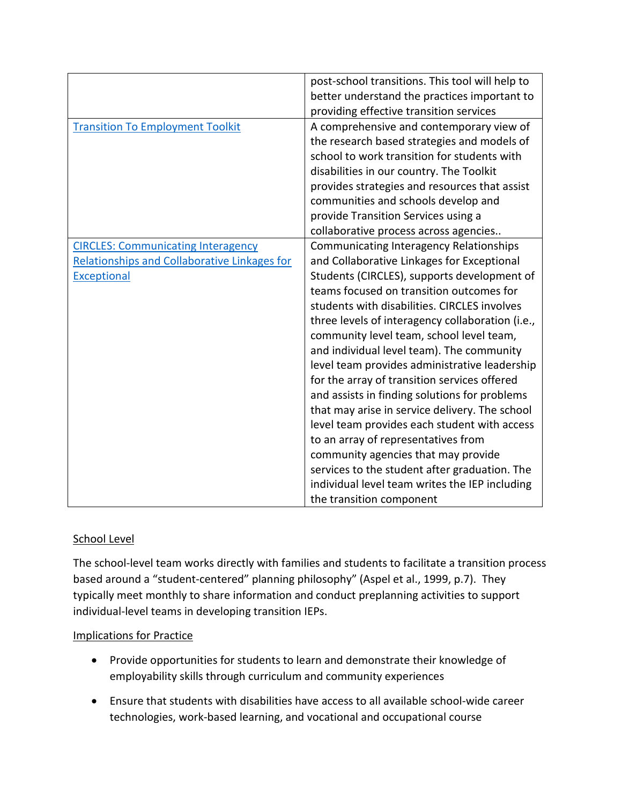|                                                     | post-school transitions. This tool will help to  |
|-----------------------------------------------------|--------------------------------------------------|
|                                                     | better understand the practices important to     |
|                                                     | providing effective transition services          |
| <b>Transition To Employment Toolkit</b>             | A comprehensive and contemporary view of         |
|                                                     | the research based strategies and models of      |
|                                                     | school to work transition for students with      |
|                                                     | disabilities in our country. The Toolkit         |
|                                                     | provides strategies and resources that assist    |
|                                                     | communities and schools develop and              |
|                                                     | provide Transition Services using a              |
|                                                     | collaborative process across agencies            |
| <b>CIRCLES: Communicating Interagency</b>           | Communicating Interagency Relationships          |
| <b>Relationships and Collaborative Linkages for</b> | and Collaborative Linkages for Exceptional       |
| <b>Exceptional</b>                                  | Students (CIRCLES), supports development of      |
|                                                     | teams focused on transition outcomes for         |
|                                                     | students with disabilities. CIRCLES involves     |
|                                                     | three levels of interagency collaboration (i.e., |
|                                                     | community level team, school level team,         |
|                                                     | and individual level team). The community        |
|                                                     | level team provides administrative leadership    |
|                                                     | for the array of transition services offered     |
|                                                     | and assists in finding solutions for problems    |
|                                                     | that may arise in service delivery. The school   |
|                                                     | level team provides each student with access     |
|                                                     | to an array of representatives from              |
|                                                     | community agencies that may provide              |
|                                                     | services to the student after graduation. The    |
|                                                     | individual level team writes the IEP including   |
|                                                     | the transition component                         |

### School Level

The school-level team works directly with families and students to facilitate a transition process based around a "student-centered" planning philosophy" (Aspel et al., 1999, p.7). They typically meet monthly to share information and conduct preplanning activities to support individual-level teams in developing transition IEPs.

### Implications for Practice

- Provide opportunities for students to learn and demonstrate their knowledge of employability skills through curriculum and community experiences
- Ensure that students with disabilities have access to all available school-wide career technologies, work-based learning, and vocational and occupational course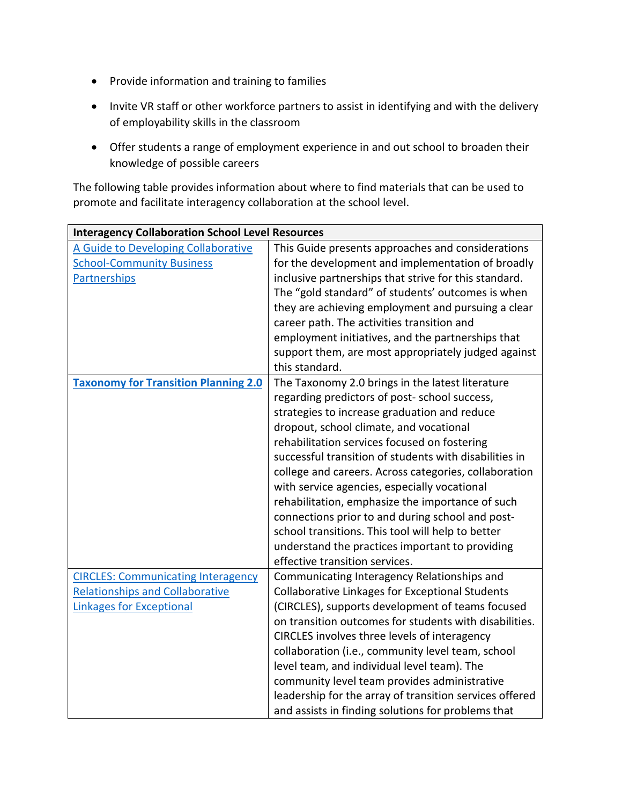- Provide information and training to families
- Invite VR staff or other workforce partners to assist in identifying and with the delivery of employability skills in the classroom
- Offer students a range of employment experience in and out school to broaden their knowledge of possible careers

The following table provides information about where to find materials that can be used to promote and facilitate interagency collaboration at the school level.

| <b>Interagency Collaboration School Level Resources</b> |                                                         |
|---------------------------------------------------------|---------------------------------------------------------|
| A Guide to Developing Collaborative                     | This Guide presents approaches and considerations       |
| <b>School-Community Business</b>                        | for the development and implementation of broadly       |
| <b>Partnerships</b>                                     | inclusive partnerships that strive for this standard.   |
|                                                         | The "gold standard" of students' outcomes is when       |
|                                                         | they are achieving employment and pursuing a clear      |
|                                                         | career path. The activities transition and              |
|                                                         | employment initiatives, and the partnerships that       |
|                                                         | support them, are most appropriately judged against     |
|                                                         | this standard.                                          |
| <b>Taxonomy for Transition Planning 2.0</b>             | The Taxonomy 2.0 brings in the latest literature        |
|                                                         | regarding predictors of post-school success,            |
|                                                         | strategies to increase graduation and reduce            |
|                                                         | dropout, school climate, and vocational                 |
|                                                         | rehabilitation services focused on fostering            |
|                                                         | successful transition of students with disabilities in  |
|                                                         | college and careers. Across categories, collaboration   |
|                                                         | with service agencies, especially vocational            |
|                                                         | rehabilitation, emphasize the importance of such        |
|                                                         | connections prior to and during school and post-        |
|                                                         | school transitions. This tool will help to better       |
|                                                         | understand the practices important to providing         |
|                                                         | effective transition services.                          |
| <b>CIRCLES: Communicating Interagency</b>               | Communicating Interagency Relationships and             |
| <b>Relationships and Collaborative</b>                  | <b>Collaborative Linkages for Exceptional Students</b>  |
| <b>Linkages for Exceptional</b>                         | (CIRCLES), supports development of teams focused        |
|                                                         | on transition outcomes for students with disabilities.  |
|                                                         | CIRCLES involves three levels of interagency            |
|                                                         | collaboration (i.e., community level team, school       |
|                                                         | level team, and individual level team). The             |
|                                                         | community level team provides administrative            |
|                                                         | leadership for the array of transition services offered |
|                                                         | and assists in finding solutions for problems that      |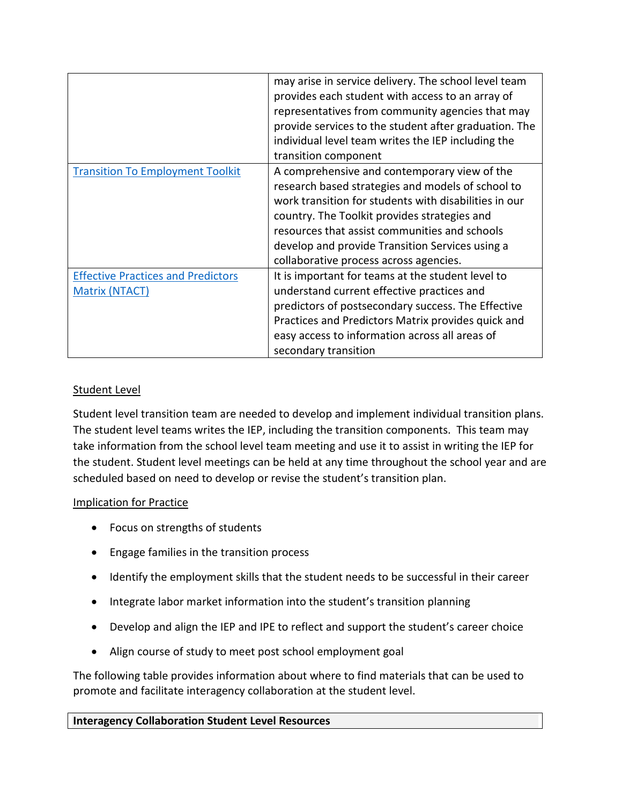|                                                                    | may arise in service delivery. The school level team<br>provides each student with access to an array of<br>representatives from community agencies that may<br>provide services to the student after graduation. The<br>individual level team writes the IEP including the<br>transition component                                                      |
|--------------------------------------------------------------------|----------------------------------------------------------------------------------------------------------------------------------------------------------------------------------------------------------------------------------------------------------------------------------------------------------------------------------------------------------|
| <b>Transition To Employment Toolkit</b>                            | A comprehensive and contemporary view of the<br>research based strategies and models of school to<br>work transition for students with disabilities in our<br>country. The Toolkit provides strategies and<br>resources that assist communities and schools<br>develop and provide Transition Services using a<br>collaborative process across agencies. |
| <b>Effective Practices and Predictors</b><br><b>Matrix (NTACT)</b> | It is important for teams at the student level to<br>understand current effective practices and<br>predictors of postsecondary success. The Effective<br>Practices and Predictors Matrix provides quick and<br>easy access to information across all areas of<br>secondary transition                                                                    |

### Student Level

Student level transition team are needed to develop and implement individual transition plans. The student level teams writes the IEP, including the transition components. This team may take information from the school level team meeting and use it to assist in writing the IEP for the student. Student level meetings can be held at any time throughout the school year and are scheduled based on need to develop or revise the student's transition plan.

### Implication for Practice

- Focus on strengths of students
- Engage families in the transition process
- Identify the employment skills that the student needs to be successful in their career
- Integrate labor market information into the student's transition planning
- Develop and align the IEP and IPE to reflect and support the student's career choice
- Align course of study to meet post school employment goal

The following table provides information about where to find materials that can be used to promote and facilitate interagency collaboration at the student level.

### **Interagency Collaboration Student Level Resources**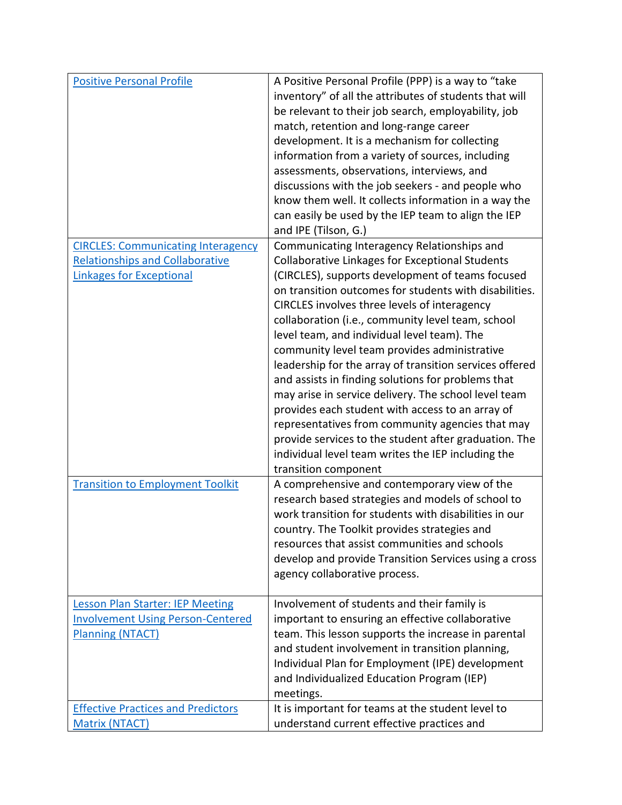| <b>Positive Personal Profile</b>          | A Positive Personal Profile (PPP) is a way to "take<br>inventory" of all the attributes of students that will |
|-------------------------------------------|---------------------------------------------------------------------------------------------------------------|
|                                           | be relevant to their job search, employability, job                                                           |
|                                           | match, retention and long-range career                                                                        |
|                                           | development. It is a mechanism for collecting                                                                 |
|                                           | information from a variety of sources, including                                                              |
|                                           | assessments, observations, interviews, and                                                                    |
|                                           | discussions with the job seekers - and people who                                                             |
|                                           | know them well. It collects information in a way the                                                          |
|                                           | can easily be used by the IEP team to align the IEP                                                           |
|                                           | and IPE (Tilson, G.)                                                                                          |
| <b>CIRCLES: Communicating Interagency</b> | Communicating Interagency Relationships and                                                                   |
| <b>Relationships and Collaborative</b>    | <b>Collaborative Linkages for Exceptional Students</b>                                                        |
| <b>Linkages for Exceptional</b>           | (CIRCLES), supports development of teams focused                                                              |
|                                           | on transition outcomes for students with disabilities.                                                        |
|                                           | CIRCLES involves three levels of interagency                                                                  |
|                                           | collaboration (i.e., community level team, school                                                             |
|                                           | level team, and individual level team). The                                                                   |
|                                           | community level team provides administrative                                                                  |
|                                           | leadership for the array of transition services offered                                                       |
|                                           | and assists in finding solutions for problems that<br>may arise in service delivery. The school level team    |
|                                           | provides each student with access to an array of                                                              |
|                                           | representatives from community agencies that may                                                              |
|                                           | provide services to the student after graduation. The                                                         |
|                                           | individual level team writes the IEP including the                                                            |
|                                           | transition component                                                                                          |
| <b>Transition to Employment Toolkit</b>   | A comprehensive and contemporary view of the                                                                  |
|                                           | research based strategies and models of school to                                                             |
|                                           | work transition for students with disabilities in our                                                         |
|                                           | country. The Toolkit provides strategies and                                                                  |
|                                           | resources that assist communities and schools                                                                 |
|                                           | develop and provide Transition Services using a cross                                                         |
|                                           | agency collaborative process.                                                                                 |
| <b>Lesson Plan Starter: IEP Meeting</b>   | Involvement of students and their family is                                                                   |
| <b>Involvement Using Person-Centered</b>  | important to ensuring an effective collaborative                                                              |
| <b>Planning (NTACT)</b>                   | team. This lesson supports the increase in parental                                                           |
|                                           | and student involvement in transition planning,                                                               |
|                                           | Individual Plan for Employment (IPE) development                                                              |
|                                           | and Individualized Education Program (IEP)                                                                    |
|                                           | meetings.                                                                                                     |
| <b>Effective Practices and Predictors</b> | It is important for teams at the student level to                                                             |
| <b>Matrix (NTACT)</b>                     | understand current effective practices and                                                                    |